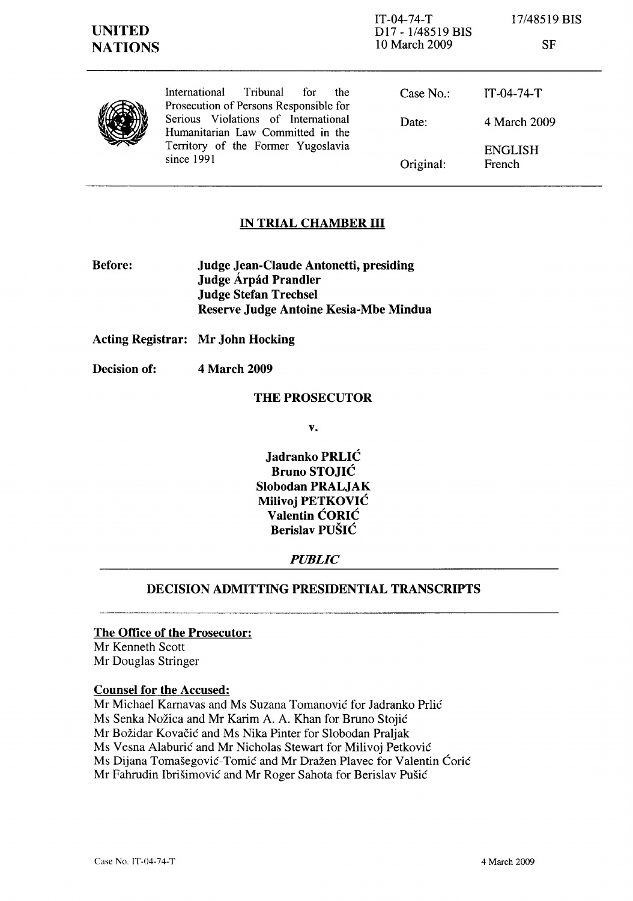IT-04-74-T D17 - 1/48519 BIS 10 March 2009

17/48519 BIS

SF

|  | <b>Tribunal</b><br>International<br>for :<br>the.                                                                  | Case $No.$ : | IT-04-74-T               |
|--|--------------------------------------------------------------------------------------------------------------------|--------------|--------------------------|
|  | Prosecution of Persons Responsible for<br>Serious Violations of International<br>Humanitarian Law Committed in the | Date:        | 4 March 2009             |
|  | Territory of the Former Yugoslavia<br>since 1991                                                                   | Original:    | <b>ENGLISH</b><br>French |

# IN TRIAL CHAMBER III

Before: Judge Jean-Claude Antonetti, presiding Judge Árpád Prandler Judge Stefan Trechsel Reserve Judge Antoine Kesia-Mbe Mindua

Acting Registrar: Mr John Hocking

Decision of: 4 March 2009

### THE PROSECUTOR

v.

Jadranko PRLIC Bruno STOJIC Slobodan PRALJAK Milivoj PETKOVIC Valentin CORIC Berislav PUSIC

### *PUBLIC*

## DECISION ADMITTING PRESIDENTIAL TRANSCRIPTS

## The Office of the Prosecutor:

Mr Kenneth Scott Mr Douglas Stringer

### Counsel for the Accused:

Mr Michael Karnavas and Ms Suzana Tomanovic for Jadranko Prlic

Ms Senka Nožica and Mr Karim A. A. Khan for Bruno Stojić

Mr Bozidar Kovacic and Ms Nika Pinter for Slobodan Praljak

Ms Vesna Alaburic and Mr Nicholas Stewart for Milivoj Petkovic

Ms Dijana Tomašegović-Tomić and Mr Dražen Plavec for Valentin Ćorić

Mr Fahrudin Ibrisimovic and Mr Roger Sahota for Berislav Pusic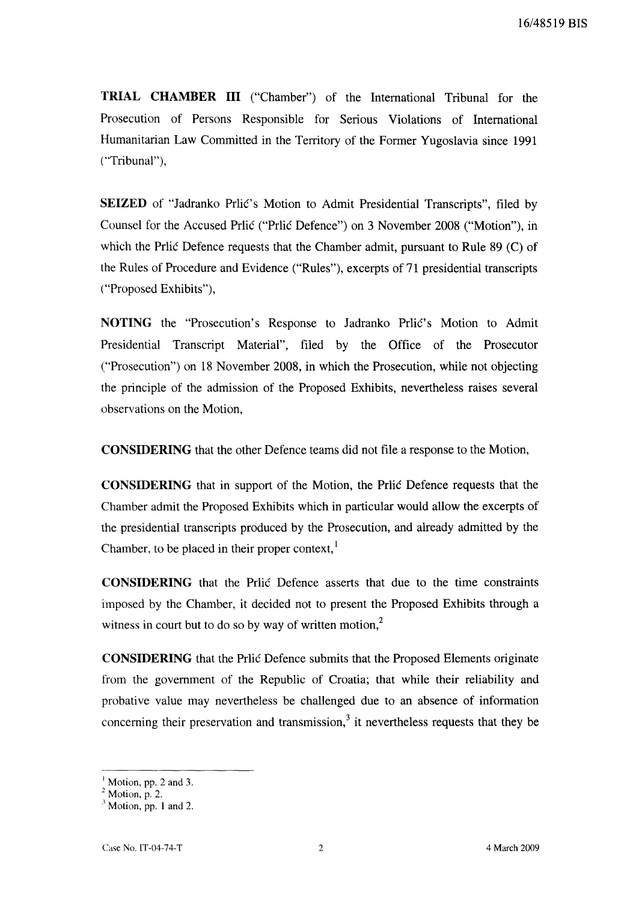**TRIAL CHAMBER III** ("Chamber") of the International Tribunal for the Prosecution of Persons Responsible for Serious Violations of International Humanitarian Law Committed in the Territory of the Former Yugoslavia since 1991 ("Tribunal"),

**SEIZED** of "Jadranko Prlic's Motion to Admit Presidential Transcripts", filed by Counsel for the Accused Prlic ("Prlic Defence") on 3 November 2008 ("Motion"), in which the Prlic Defence requests that the Chamber admit, pursuant to Rule 89 (C) of the Rules of Procedure and Evidence ("Rules"), excerpts of 71 presidential transcripts ("Proposed Exhibits"),

**NOTING** the "Prosecution's Response to Jadranko Prlic's Motion to Admit Presidential Transcript Material", filed by the Office of the Prosecutor ("Prosecution") on 18 November 2008, in which the Prosecution, while not objecting the principle of the admission of the Proposed Exhibits, nevertheless raises several observations on the Motion,

**CONSIDERING** that the other Defence teams did not file a response to the Motion,

**CONSIDERING** that in support of the Motion, the Prlic Defence requests that the Chamber admit the Proposed Exhibits which in particular would allow the excerpts of the presidential transcripts produced by the Prosecution, and already admitted by the Chamber, to be placed in their proper context,<sup>1</sup>

**CONSIDERING** that the Prlic Defence asserts that due to the time constraints imposed by the Chamber, it decided not to present the Proposed Exhibits through a witness in court but to do so by way of written motion.<sup>2</sup>

**CONSIDERING** that the Prlic Defence submits that the Proposed Elements originate from the government of the Republic of Croatia; that while their reliability and probative value may nevertheless be challenged due to an absence of information concerning their preservation and transmission,<sup>3</sup> it nevertheless requests that they be

<sup>&</sup>lt;sup>1</sup> Motion, pp. 2 and 3.

 $2 \text{ Motion}, p. 2.$ 

 $<sup>3</sup>$  Motion, pp. 1 and 2.</sup>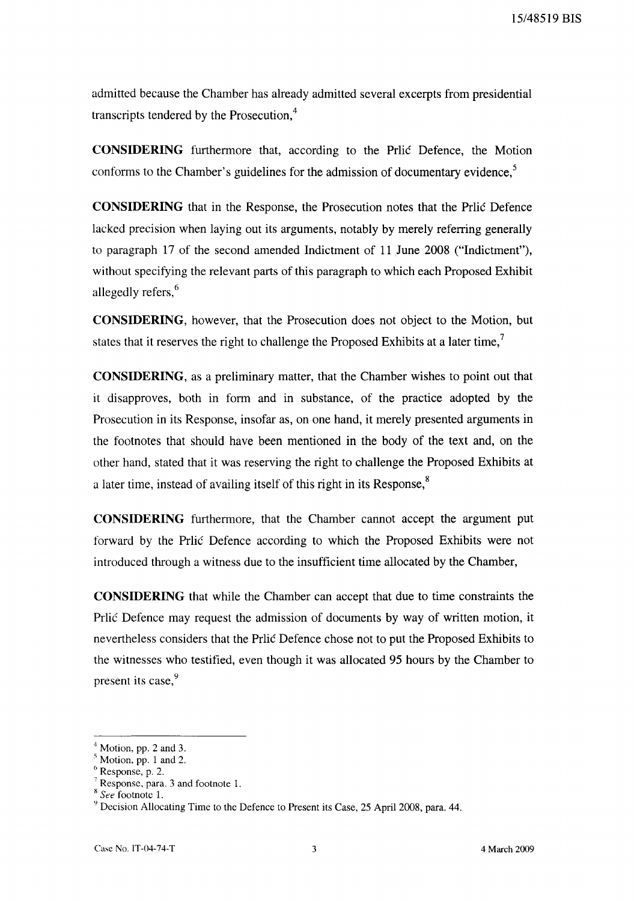15/48519 BIS

admitted because the Chamber has already admitted several excerpts from presidential transcripts tendered by the Prosecution,<sup>4</sup>

**CONSIDERING** furthermore that, according to the Prlic Defence, the Motion conforms to the Chamber's guidelines for the admission of documentary evidence, $<sup>5</sup>$ </sup>

**CONSIDERING** that in the Response, the Prosecution notes that the Prlic Defence lacked precision when laying out its arguments, notably by merely referring generally to paragraph 17 of the second amended Indictment of **11** June 2008 ("Indictment"), without specifying the relevant parts of this paragraph to which each Proposed Exhibit allegedly refers,<sup>6</sup>

**CONSIDERING,** however, that the Prosecution does not object to the Motion, but states that it reserves the right to challenge the Proposed Exhibits at a later time,<sup>7</sup>

**CONSIDERING,** as a preliminary matter, that the Chamber wishes to point out that it disapproves, both in form and in substance, of the practice adopted by the Prosecution in its Response, insofar as, on one hand, it merely presented arguments in the footnotes that should have been mentioned in the body of the text and, on the other hand, stated that it was reserving the right to challenge the Proposed Exhibits at a later time, instead of availing itself of this right in its Response,<sup>8</sup>

**CONSIDERING** furthermore, that the Chamber cannot accept the argument put forward by the Prlic Defence according to which the Proposed Exhibits were not introduced through a witness due to the insufficient time allocated by the Chamber,

**CONSIDERING** that while the Chamber can accept that due to time constraints the Prlic Defence may request the admission of documents by way of written motion, it nevertheless considers that the Prlic Defence chose not to put the Proposed Exhibits to the witnesses who testified, even though it was allocated 95 hours by the Chamber to present its case, 9

Motion, pp. 2 and 3.

Motion, pp. 1 and 2.

Response, p. 2.

Response, para. 3 and footnote 1.

x*See* footnote 1.

<sup>9</sup> Decision Allocating Time to the Defence to Present its Case, 25 April 2008, para. 44.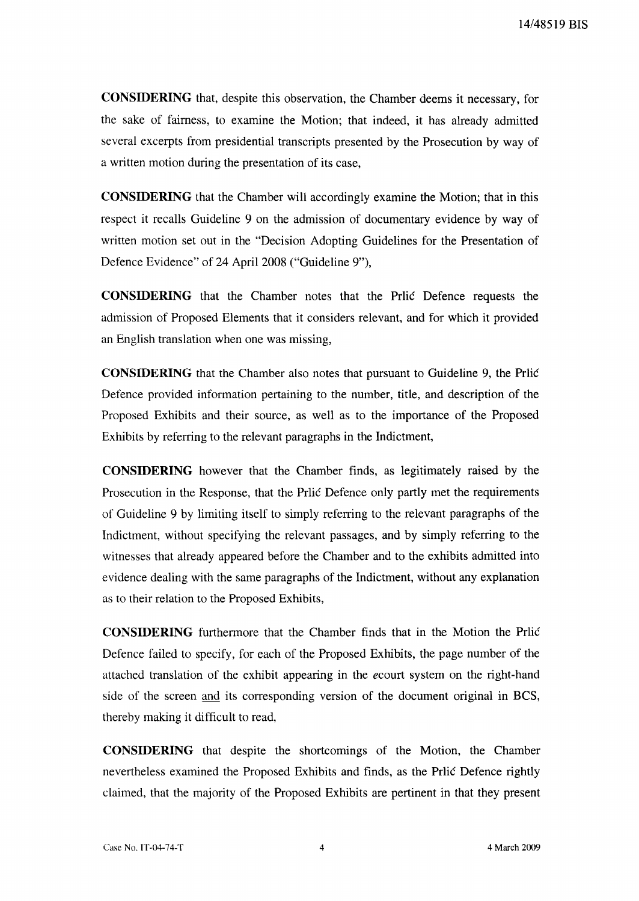**CONSIDERING** that, despite this observation, the Chamber deems it necessary, for the sake of fairness, to examine the Motion; that indeed, it has already admitted several excerpts from presidential transcripts presented by the Prosecution by way of a written motion during the presentation of its case,

**CONSIDERING** that the Chamber will accordingly examine the Motion; that in this respect it recalls Guideline 9 on the admission of documentary evidence by way of written motion set out in the "Decision Adopting Guidelines for the Presentation of Defence Evidence" of 24 April 2008 ("Guideline 9"),

**CONSIDERING** that the Chamber notes that the Prlic Defence requests the admission of Proposed Elements that it considers relevant, and for which it provided an English translation when one was missing,

**CONSIDERING** that the Chamber also notes that pursuant to Guideline 9, the Prlic Defence provided information pertaining to the number, title, and description of the Proposed Exhibits and their source, as well as to the importance of the Proposed Exhibits by referring to the relevant paragraphs in the Indictment,

**CONSIDERING** however that the Chamber finds, as legitimately raised by the Prosecution in the Response, that the Prlic Defence only partly met the requirements of Guideline 9 by limiting itself to simply referring to the relevant paragraphs of the Indictment, without specifying the relevant passages, and by simply referring to the witnesses that already appeared before the Chamber and to the exhibits admitted into evidence dealing with the same paragraphs of the Indictment, without any explanation as to their relation to the Proposed Exhibits,

**CONSIDERING** furthermore that the Chamber finds that in the Motion the Prlic Defence failed to specify, for each of the Proposed Exhibits, the page number of the attached translation of the exhibit appearing in the *ecourt* system on the right-hand side of the screen and its corresponding version of the document original in BCS, thereby making it difficult to read,

**CONSIDERING** that despite the shortcomings of the Motion, the Chamber nevertheless examined the Proposed Exhibits and finds, as the Prlic Defence rightly claimed, that the majority of the Proposed Exhibits are pertinent in that they present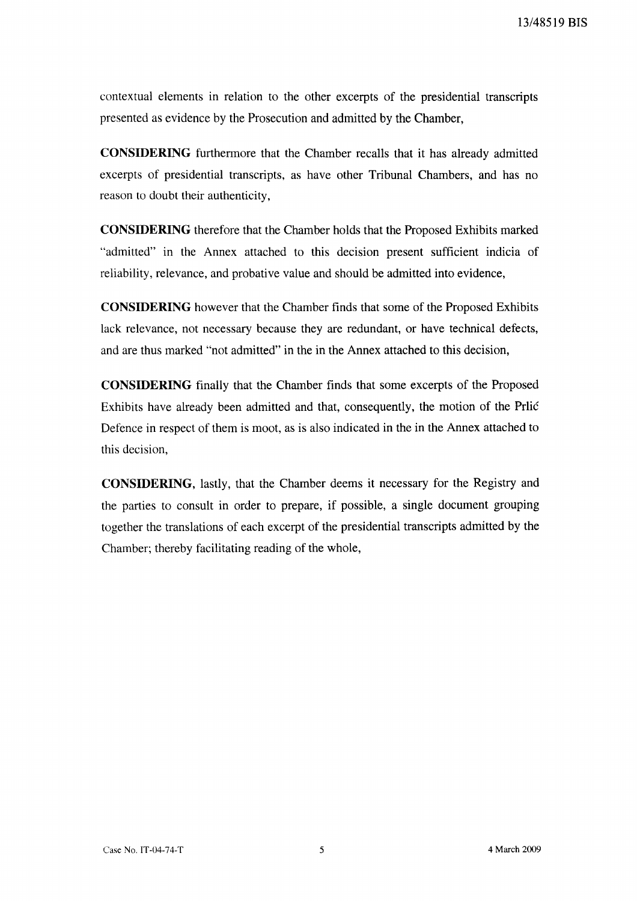contextual elements in relation to the other excerpts of the presidential transcripts presented as evidence by the Prosecution and admitted by the Chamber,

**CONSIDERING** furthermore that the Chamber recalls that it has already admitted excerpts of presidential transcripts, as have other Tribunal Chambers, and has no reason to doubt their authenticity,

**CONSIDERING** therefore that the Chamber holds that the Proposed Exhibits marked "admitted" in the Annex attached to this decision present sufficient indicia of reliability, relevance, and probative value and should be admitted into evidence,

**CONSIDERING** however that the Chamber finds that some of the Proposed Exhibits lack relevance, not necessary because they are redundant, or have technical defects, and are thus marked "not admitted" in the in the Annex attached to this decision,

**CONSIDERING** finally that the Chamber finds that some excerpts of the Proposed Exhibits have already been admitted and that, consequently, the motion of the Prlic Defence in respect of them is moot, as is also indicated in the in the Annex attached to this decision,

**CONSIDERING,** lastly, that the Chamber deems it necessary for the Registry and the parties to consult in order to prepare, if possible, a single document grouping together the translations of each excerpt of the presidential transcripts admitted by the Chamber; thereby facilitating reading of the whole,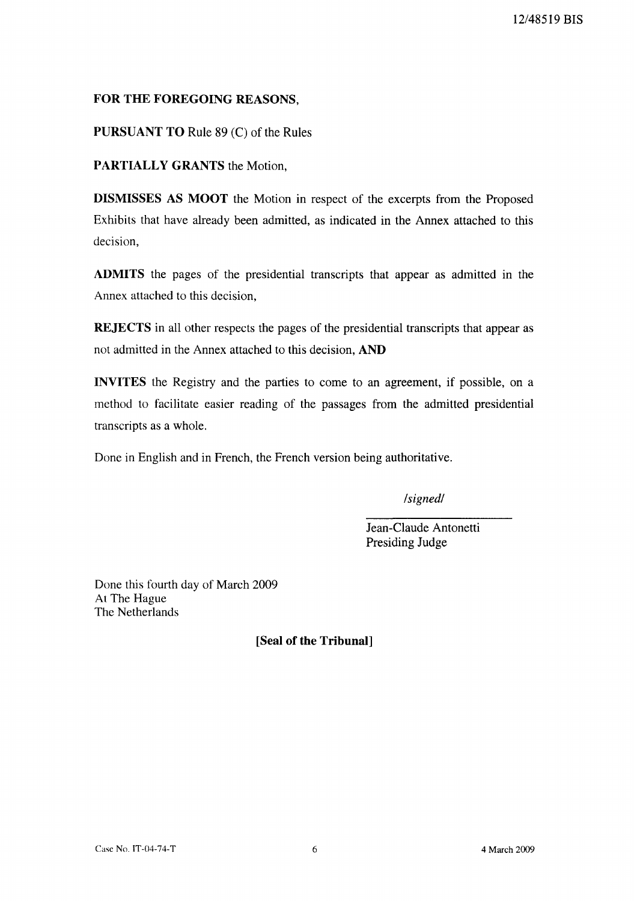# **FOR THE FOREGOING** REASONS,

**PURSUANT TO** Rule 89 (C) of the Rules

**PARTIALLY GRANTS** the Motion,

**DISMISSES AS MOOT** the Motion in respect of the excerpts from the Proposed Exhibits that have already been admitted, as indicated in the Annex attached to this decision,

**ADMITS** the pages of the presidential transcripts that appear as admitted in the Annex attached to this decision,

**REJECTS** in all other respects the pages of the presidential transcripts that appear as not admitted in the Annex attached to this decision, **AND**

**INVITES** the Registry and the parties to come to an agreement, if possible, on a method to facilitate easier reading of the passages from the admitted presidential transcripts as a whole.

Done in English and in French, the French version being authoritative.

*/signed/*

Jean-Claude Antonetti Presiding Judge

Done this fourth day of March 2009 At The Hague The Netherlands

**[Seal of the Tribunal]**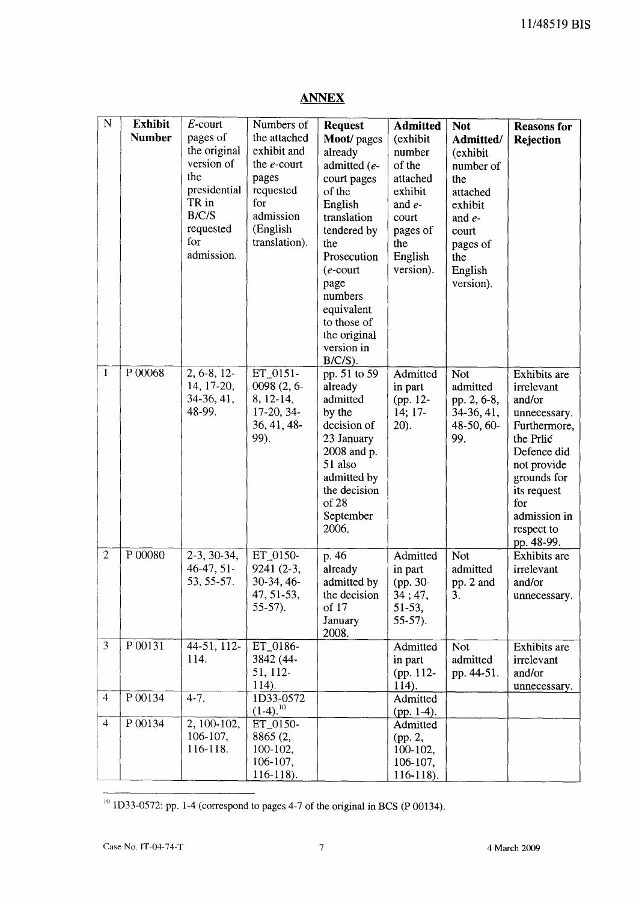| $\mathbf N$    | <b>Exhibit</b><br><b>Number</b> | $E$ -court<br>pages of<br>the original<br>version of<br>the<br>presidential<br>TR in<br>B/C/S<br>requested<br>for<br>admission. | Numbers of<br>the attached<br>exhibit and<br>the $e$ -court<br>pages<br>requested<br>for<br>admission<br>(English<br>translation). | <b>Request</b><br>Moot/ pages<br>already<br>admitted (e-<br>court pages<br>of the<br>English<br>translation<br>tendered by<br>the<br>Prosecution<br>$(e$ -court<br>page<br>numbers<br>equivalent<br>to those of<br>the original<br>version in<br>$B/C/S$ ). | <b>Admitted</b><br>(exhibit<br>number<br>of the<br>attached<br>exhibit<br>and $e$ -<br>court<br>pages of<br>the<br>English<br>version). | <b>Not</b><br>Admitted/<br>(exhibit<br>number of<br>the<br>attached<br>exhibit<br>and $e$ -<br>court<br>pages of<br>the<br>English<br>version). | <b>Reasons</b> for<br>Rejection                                                                                                                                                                  |
|----------------|---------------------------------|---------------------------------------------------------------------------------------------------------------------------------|------------------------------------------------------------------------------------------------------------------------------------|-------------------------------------------------------------------------------------------------------------------------------------------------------------------------------------------------------------------------------------------------------------|-----------------------------------------------------------------------------------------------------------------------------------------|-------------------------------------------------------------------------------------------------------------------------------------------------|--------------------------------------------------------------------------------------------------------------------------------------------------------------------------------------------------|
| $\mathbf{1}$   | P 00068                         | $2, 6-8, 12-$<br>14, 17-20,<br>34-36, 41,<br>48-99.                                                                             | ET_0151-<br>0098 (2, 6-<br>8, 12-14,<br>17-20, 34-<br>36, 41, 48-<br>99).                                                          | pp. 51 to 59<br>already<br>admitted<br>by the<br>decision of<br>23 January<br>2008 and p.<br>51 also<br>admitted by<br>the decision<br>of 28<br>September<br>2006.                                                                                          | Admitted<br>in part<br>(pp. 12-<br>14; 17-<br>$20$ ).                                                                                   | <b>Not</b><br>admitted<br>pp. 2, 6-8,<br>34-36, 41,<br>48-50, 60-<br>99.                                                                        | Exhibits are<br>irrelevant<br>and/or<br>unnecessary.<br>Furthermore,<br>the Prlic<br>Defence did<br>not provide<br>grounds for<br>its request<br>for<br>admission in<br>respect to<br>pp. 48-99. |
| $\overline{2}$ | P 00080                         | $2-3, 30-34,$<br>$46-47, 51$<br>53, 55-57.                                                                                      | ET_0150-<br>9241 (2-3,<br>30-34, 46-<br>47, 51-53,<br>$55-57$ ).                                                                   | p. 46<br>already<br>admitted by<br>the decision<br>of 17<br>January<br>2008.                                                                                                                                                                                | Admitted<br>in part<br>(pp. 30-<br>34; 47,<br>$51-53,$<br>$55-57$ ).                                                                    | Not<br>admitted<br>pp. 2 and<br>3.                                                                                                              | Exhibits are<br>irrelevant<br>and/or<br>unnecessary.                                                                                                                                             |
| $\overline{3}$ | P 00131                         | 44-51, 112-<br>114.                                                                                                             | ET_0186-<br>3842 (44-<br>51, 112-<br>$114$ ).                                                                                      |                                                                                                                                                                                                                                                             | Admitted<br>in part<br>(pp. 112-<br>114).                                                                                               | <b>Not</b><br>admitted<br>pp. 44-51.                                                                                                            | Exhibits are<br>irrelevant<br>and/or<br>unnecessary.                                                                                                                                             |
| $\overline{4}$ | P 00134                         | $4 - 7.$                                                                                                                        | ID33-0572<br>$(1-4).^{10}$                                                                                                         |                                                                                                                                                                                                                                                             | Admitted<br>(pp. $1-4$ ).                                                                                                               |                                                                                                                                                 |                                                                                                                                                                                                  |
| $\overline{4}$ | P 00134                         | 2, 100-102,<br>$106-107$ ,<br>116-118.                                                                                          | ET_0150-<br>8865 (2,<br>$100-102,$<br>106-107,<br>$116-118$ ).                                                                     |                                                                                                                                                                                                                                                             | Admitted<br>(pp. 2,<br>$100-102,$<br>106-107,<br>$116-118$ ).                                                                           |                                                                                                                                                 |                                                                                                                                                                                                  |

# **ANNEX**

 $10$  lD33-0572: pp. 1-4 (correspond to pages 4-7 of the original in BCS (P 00134).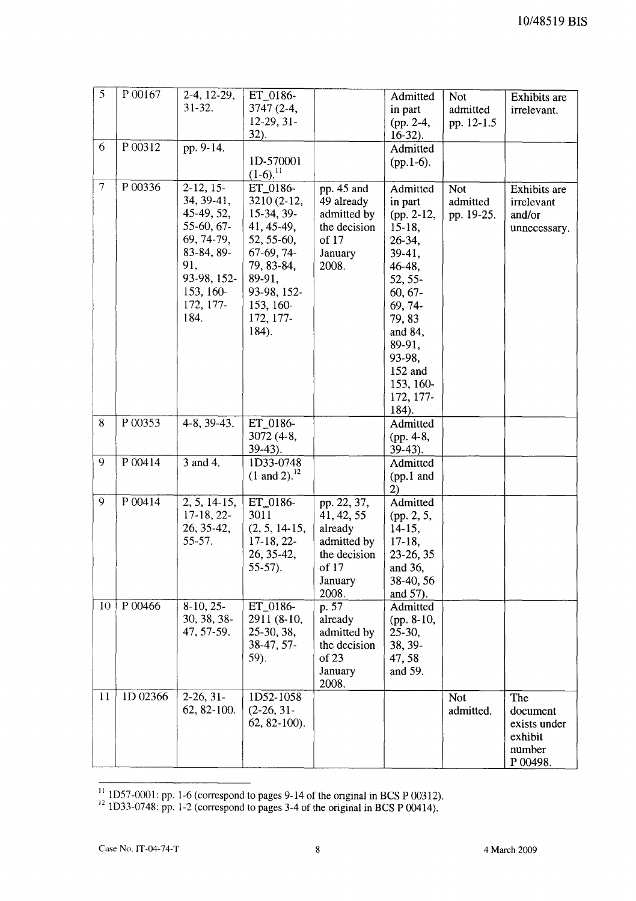| 5              | P 00167  | $2-4, 12-29,$<br>$31 - 32.$                                                                                                               | ET_0186-<br>$3747(2-4,$<br>$12-29, 31-$<br>$32$ ).                                                                                                          |                                                                                                  | Admitted<br>in part<br>(pp. 2-4,<br>$16-32$ ).                                                                                                                                                             | <b>Not</b><br>admitted<br>pp. 12-1.5 | <b>Exhibits</b> are<br>irrelevant.                               |
|----------------|----------|-------------------------------------------------------------------------------------------------------------------------------------------|-------------------------------------------------------------------------------------------------------------------------------------------------------------|--------------------------------------------------------------------------------------------------|------------------------------------------------------------------------------------------------------------------------------------------------------------------------------------------------------------|--------------------------------------|------------------------------------------------------------------|
| 6              | P 00312  | pp. 9-14.                                                                                                                                 | 1D-570001<br>$(1-6)^{11}$                                                                                                                                   |                                                                                                  | Admitted<br>$(pp.1-6)$ .                                                                                                                                                                                   |                                      |                                                                  |
| $\overline{7}$ | P 00336  | $2-12, 15-$<br>34, 39-41,<br>45-49, 52,<br>55-60, 67-<br>69, 74-79,<br>83-84, 89-<br>91,<br>93-98, 152-<br>153, 160-<br>172, 177-<br>184. | ET_0186-<br>3210 (2-12,<br>15-34, 39-<br>41, 45-49,<br>52, 55-60,<br>$67-69, 74-$<br>79, 83-84,<br>89-91,<br>93-98, 152-<br>153, 160-<br>172, 177-<br>184). | pp. 45 and<br>49 already<br>admitted by<br>the decision<br>of 17<br>January<br>2008.             | Admitted<br>in part<br>$(pp. 2-12,$<br>$15-18$ ,<br>26-34,<br>$39-41,$<br>46-48,<br>52, 55-<br>$60, 67 -$<br>69, 74-<br>79,83<br>and 84,<br>89-91,<br>93-98,<br>152 and<br>153, 160-<br>172, 177-<br>184). | Not<br>admitted<br>pp. 19-25.        | Exhibits are<br>irrelevant<br>and/or<br>unnecessary.             |
| 8              | P 00353  | 4-8, 39-43.                                                                                                                               | ET_0186-<br>3072 (4-8,<br>$39-43$ ).                                                                                                                        |                                                                                                  | Admitted<br>(pp. 4-8,<br>$39-43$ ).                                                                                                                                                                        |                                      |                                                                  |
| 9              | P 00414  | 3 and 4.                                                                                                                                  | ID33-0748<br>$(1 \text{ and } 2).^{12}$                                                                                                                     |                                                                                                  | Admitted<br>$(pp.1$ and<br>2)                                                                                                                                                                              |                                      |                                                                  |
| 9              | P 00414  | $2, 5, 14-15,$<br>$17-18, 22-$<br>26, 35-42,<br>$55 - 57$ .                                                                               | ET_0186-<br>3011<br>$(2, 5, 14-15,$<br>$17-18, 22-$<br>26, 35-42,<br>$55-57$ ).                                                                             | pp. 22, 37,<br>41, 42, 55<br>already<br>admitted by<br>the decision<br>of 17<br>January<br>2008. | Admitted<br>(pp. 2, 5,<br>$14-15,$<br>$17-18$ ,<br>23-26, 35<br>and 36,<br>38-40, 56<br>and 57).                                                                                                           |                                      |                                                                  |
| 10             | P 00466  | $8-10, 25-$<br>30, 38, 38-<br>47, 57-59.                                                                                                  | ET_0186-<br>2911 (8-10,<br>25-30, 38,<br>38-47, 57-<br>59).                                                                                                 | p. 57<br>already<br>admitted by<br>the decision<br>of 23<br>January<br>2008.                     | Admitted<br>(pp. 8-10,<br>$25-30,$<br>38, 39-<br>47,58<br>and 59.                                                                                                                                          |                                      |                                                                  |
| 11             | ID 02366 | $2-26, 31-$<br>62, 82-100.                                                                                                                | 1D52-1058<br>$(2-26, 31-$<br>$62, 82-100$ ).                                                                                                                |                                                                                                  |                                                                                                                                                                                                            | <b>Not</b><br>admitted.              | The<br>document<br>exists under<br>exhibit<br>number<br>P 00498. |

 $\frac{11}{11}$  1D57-0001: pp. 1-6 (correspond to pages 9-14 of the original in BCS P 00312).

 $12$  1D33-0748: pp. 1-2 (correspond to pages 3-4 of the original in BCS P 00414).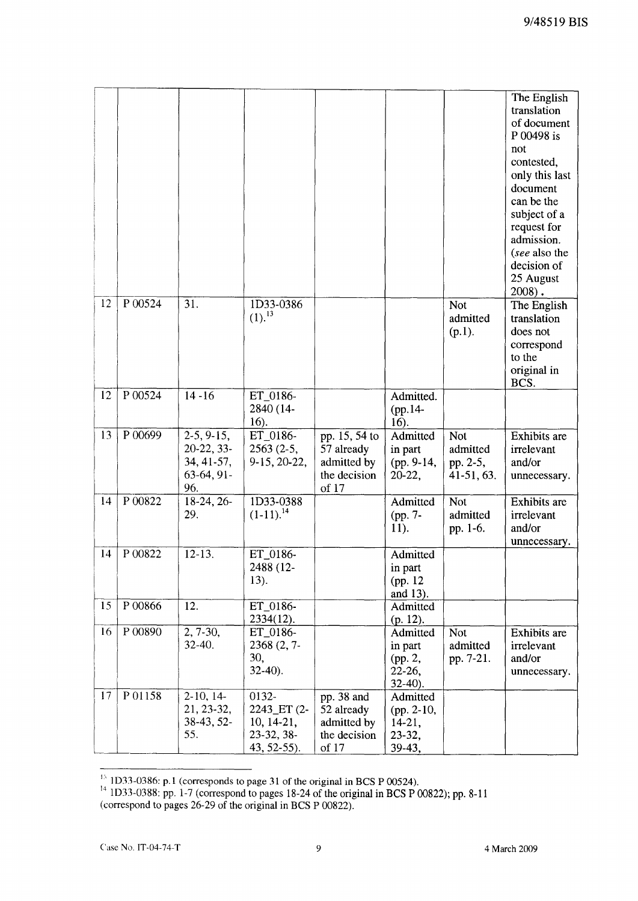|    |           |                     |                   |                       |                      |              | The English                  |
|----|-----------|---------------------|-------------------|-----------------------|----------------------|--------------|------------------------------|
|    |           |                     |                   |                       |                      |              | translation                  |
|    |           |                     |                   |                       |                      |              | of document                  |
|    |           |                     |                   |                       |                      |              | P 00498 is                   |
|    |           |                     |                   |                       |                      |              | not                          |
|    |           |                     |                   |                       |                      |              | contested,                   |
|    |           |                     |                   |                       |                      |              | only this last               |
|    |           |                     |                   |                       |                      |              | document                     |
|    |           |                     |                   |                       |                      |              | can be the                   |
|    |           |                     |                   |                       |                      |              | subject of a                 |
|    |           |                     |                   |                       |                      |              | request for                  |
|    |           |                     |                   |                       |                      |              | admission.                   |
|    |           |                     |                   |                       |                      |              | (see also the<br>decision of |
|    |           |                     |                   |                       |                      |              | 25 August                    |
|    |           |                     |                   |                       |                      |              | $2008$ ).                    |
| 12 | $P$ 00524 | 31.                 | 1D33-0386         |                       |                      | Not          | The English                  |
|    |           |                     | $(1).^{13}$       |                       |                      | admitted     | translation                  |
|    |           |                     |                   |                       |                      | $(p.1)$ .    | does not                     |
|    |           |                     |                   |                       |                      |              | correspond                   |
|    |           |                     |                   |                       |                      |              | to the                       |
|    |           |                     |                   |                       |                      |              | original in                  |
|    |           |                     |                   |                       |                      |              | BCS.                         |
| 12 | P 00524   | $14 - 16$           | ET_0186-          |                       | Admitted.            |              |                              |
|    |           |                     | 2840 (14-         |                       | (pp.14-              |              |                              |
|    |           |                     | 16).              |                       | 16).                 |              |                              |
| 13 | P 00699   | $2-5, 9-15,$        | ET_0186-          | pp. 15, 54 to         | Admitted             | <b>Not</b>   | Exhibits are                 |
|    |           | 20-22, 33-          | $2563(2-5,$       | 57 already            | in part              | admitted     | irrelevant                   |
|    |           | 34, 41-57,          | 9-15, 20-22,      | admitted by           | (pp. 9-14,           | pp. 2-5,     | and/or                       |
|    |           | $63-64, 91-$<br>96. |                   | the decision<br>of 17 | 20-22,               | $41-51, 63.$ | unnecessary.                 |
| 14 | P 00822   | $18-24, 26-$        | 1D33-0388         |                       | Admitted             | <b>Not</b>   | <b>Exhibits</b> are          |
|    |           | 29.                 | $(1-11).^{14}$    |                       | (pp. 7-              | admitted     | irrelevant                   |
|    |           |                     |                   |                       | 11).                 | pp. 1-6.     | and/or                       |
|    |           |                     |                   |                       |                      |              | unnecessary.                 |
| 14 | P 00822   | $12-13.$            | ET_0186-          |                       | Admitted             |              |                              |
|    |           |                     | 2488 (12-         |                       | in part              |              |                              |
|    |           |                     | 13).              |                       | (pp. 12)             |              |                              |
|    |           |                     |                   |                       | and 13).             |              |                              |
| 15 | P 00866   | 12.                 | ET_0186-          |                       | Admitted             |              |                              |
|    |           |                     | $2334(12)$ .      |                       | (p. 12).             |              |                              |
| 16 | P 00890   | 2, 7-30,            | ET_0186-          |                       | Admitted             | <b>Not</b>   | Exhibits are                 |
|    |           | 32-40.              | $2368(2,7-$       |                       | in part              | admitted     | irrelevant                   |
|    |           |                     | 30,<br>$32-40$ ). |                       | (pp. 2,              | pp. 7-21.    | and/or                       |
|    |           |                     |                   |                       | 22-26,<br>$32-40$ ). |              | unnecessary.                 |
| 17 | P01158    | $2-10, 14-$         | 0132-             | pp. 38 and            | Admitted             |              |                              |
|    |           | 21, 23-32,          | 2243_ET (2-       | 52 already            | (pp. 2-10,           |              |                              |
|    |           | 38-43, 52-          | $10, 14-21,$      | admitted by           | $14-21,$             |              |                              |
|    |           | 55.                 | 23-32, 38-        | the decision          | 23-32,               |              |                              |
|    |           |                     | $43, 52-55$ ).    | of 17                 | 39-43,               |              |                              |

<sup>&</sup>lt;sup>15</sup> 1D33-0386: p.1 (corresponds to page 31 of the original in BCS P 00524).

<sup>&</sup>lt;sup>14</sup> 1D33-0388: pp. 1-7 (correspond to pages 18-24 of the original in BCS P 00822); pp. 8-11 (correspond to pages 26-29 of the original in BCS P 00822).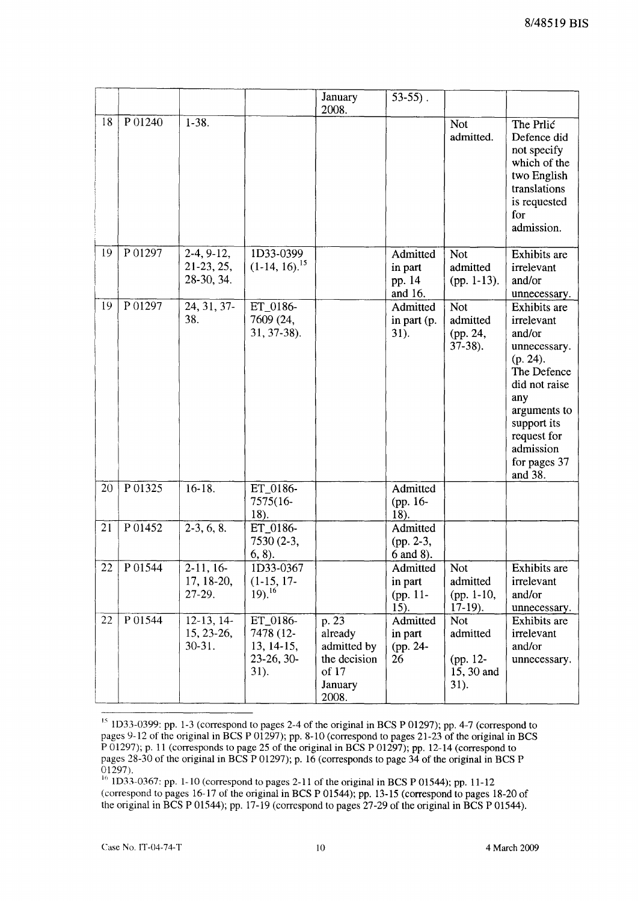|    |         |                                            |                                                                | January<br>2008.                                                             | $53-55$ ).                                |                                                   |                                                                                                                                                                                               |
|----|---------|--------------------------------------------|----------------------------------------------------------------|------------------------------------------------------------------------------|-------------------------------------------|---------------------------------------------------|-----------------------------------------------------------------------------------------------------------------------------------------------------------------------------------------------|
| 18 | P 01240 | $1-38.$                                    |                                                                |                                                                              |                                           | <b>Not</b><br>admitted.                           | The Prlic<br>Defence did<br>not specify<br>which of the<br>two English<br>translations<br>is requested<br>for<br>admission.                                                                   |
| 19 | P01297  | $2-4, 9-12,$<br>21-23, 25,<br>28-30, 34.   | 1D33-0399<br>$(1-14, 16).$ <sup>15</sup>                       |                                                                              | Admitted<br>in part<br>pp. 14<br>and 16.  | <b>Not</b><br>admitted<br>$(pp. 1-13).$           | Exhibits are<br>irrelevant<br>and/or<br>unnecessary.                                                                                                                                          |
| 19 | P01297  | 24, 31, 37-<br>38.                         | ET 0186-<br>7609 (24,<br>31, 37-38).                           |                                                                              | Admitted<br>in part (p.<br>31).           | <b>Not</b><br>admitted<br>(pp. 24,<br>$37-38$ ).  | Exhibits are<br>irrelevant<br>and/or<br>unnecessary.<br>(p. 24).<br>The Defence<br>did not raise<br>any<br>arguments to<br>support its<br>request for<br>admission<br>for pages 37<br>and 38. |
| 20 | P 01325 | $16 - 18.$                                 | ET_0186-<br>7575(16-<br>18).                                   |                                                                              | Admitted<br>(pp. 16-<br>18).              |                                                   |                                                                                                                                                                                               |
| 21 | P01452  | $2-3, 6, 8.$                               | ET_0186-<br>7530 (2-3,<br>6, 8).                               |                                                                              | Admitted<br>$(pp. 2-3,$<br>6 and 8).      |                                                   |                                                                                                                                                                                               |
| 22 | P 01544 | $2-11, 16-$<br>17, 18-20,<br>27-29.        | 1D33-0367<br>$(1-15, 17-$<br>$19)$ , $^{16}$                   |                                                                              | Admitted<br>in part<br>$(pp. 11-$<br>15). | Not<br>admitted<br>(pp. $1-10$ ,<br>$17-19$ .     | Exhibits are<br>irrelevant<br>and/or<br>unnecessary.                                                                                                                                          |
| 22 | P 01544 | $12-13, 14-$<br>$15, 23-26,$<br>$30 - 31.$ | ET_0186-<br>7478 (12-<br>13, 14-15,<br>$23-26, 30-$<br>$31$ ). | p. 23<br>already<br>admitted by<br>the decision<br>of 17<br>January<br>2008. | Admitted<br>in part<br>(pp. 24-<br>26     | Not<br>admitted<br>(pp. 12-<br>15, 30 and<br>31). | Exhibits are<br>irrelevant<br>and/or<br>unnecessary.                                                                                                                                          |

 $15$  1D33-0399: pp. 1-3 (correspond to pages 2-4 of the original in BCS P 01297); pp. 4-7 (correspond to pages 9-12 of the original in BCS P 01297); pp. 8-10 (correspond to pages 21-23 of the original in BCS P 01297); p. 11 (corresponds to page 25 of the original in BCS P 01297); pp. 12-14 (correspond to pages 28-30 of the original in BCS P 01297); p. 16 (corresponds to page 34 of the original in BCS P 01297).

 $^{16}$  1D33-0367: pp. 1-10 (correspond to pages 2-11 of the original in BCS P 01544); pp. 11-12 (correspond to pages 16-17 of the original in BCS P 01544); pp. 13-15 (correspond to pages 18-20 of the original in BCS P 01544); pp. 17-19 (correspond to pages 27-29 of the original in BCS P 01544).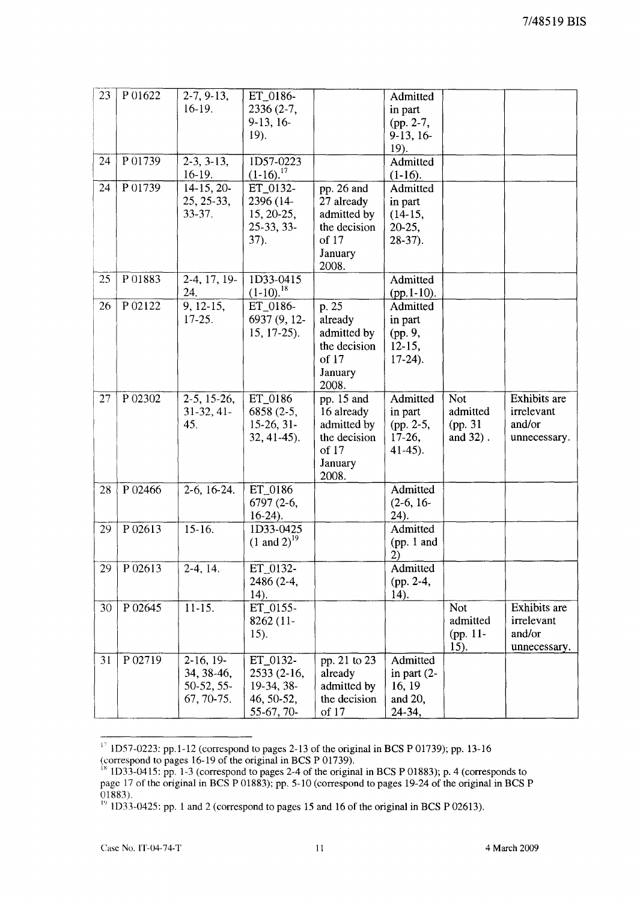| 23 | P 01622 | $2-7, 9-13,$       | ET_0186-                  |              | Admitted             |            |              |
|----|---------|--------------------|---------------------------|--------------|----------------------|------------|--------------|
|    |         | $16-19.$           | $2336(2-7,$               |              | in part              |            |              |
|    |         |                    | $9-13, 16-$               |              | (pp. 2-7,            |            |              |
|    |         |                    | 19.                       |              | $9-13, 16-$          |            |              |
|    |         |                    |                           |              | 19).                 |            |              |
| 24 | P01739  | $2-3, 3-13,$       | ID57-0223                 |              | Admitted             |            |              |
|    |         | 16-19.             | $(1-16).^{17}$            |              | $(1-16).$            |            |              |
| 24 | P01739  | $14-15, 20-$       | ET_0132-                  | pp. 26 and   | Admitted             |            |              |
|    |         | 25, 25-33,         | 2396 (14-                 | 27 already   |                      |            |              |
|    |         | 33-37.             | 15, 20-25,                | admitted by  | in part<br>$(14-15,$ |            |              |
|    |         |                    | 25-33, 33-                | the decision | $20-25,$             |            |              |
|    |         |                    | 37).                      | of 17        | $28-37$ ).           |            |              |
|    |         |                    |                           | January      |                      |            |              |
|    |         |                    |                           |              |                      |            |              |
| 25 | P01883  | 2-4, 17, 19-       | $1D33 - 0415$             | 2008.        | Admitted             |            |              |
|    |         | 24.                | $(1-10).^{18}$            |              | $(pp.1-10).$         |            |              |
| 26 | P 02122 | 9, 12-15,          | ET_0186-                  | p.25         | Admitted             |            |              |
|    |         | 17-25.             | 6937 (9, 12-              | already      | in part              |            |              |
|    |         |                    | $15, 17-25$ ).            | admitted by  | (pp. 9,              |            |              |
|    |         |                    |                           | the decision | $12-15,$             |            |              |
|    |         |                    |                           | of 17        | $17-24$ ).           |            |              |
|    |         |                    |                           | January      |                      |            |              |
|    |         |                    |                           | 2008.        |                      |            |              |
| 27 | P 02302 | $2-5$ , 15 $-26$ , | ET_0186                   | pp. 15 and   | Admitted             | Not        | Exhibits are |
|    |         | $31-32, 41-$       | 6858 (2-5,                | 16 already   | in part              | admitted   | irrelevant   |
|    |         | 45.                | $15-26, 31-$              | admitted by  | (pp. 2-5,            | (pp. 31)   | and/or       |
|    |         |                    | $32, 41-45$ ).            | the decision | $17-26,$             | and 32).   | unnecessary. |
|    |         |                    |                           | of 17        | $41-45$ ).           |            |              |
|    |         |                    |                           | January      |                      |            |              |
|    |         |                    |                           | 2008.        |                      |            |              |
| 28 | P 02466 | $2-6, 16-24.$      | ET_0186                   |              | Admitted             |            |              |
|    |         |                    | 6797 (2-6,                |              | $(2-6, 16-$          |            |              |
|    |         |                    | $16-24$ ).                |              | 24).                 |            |              |
| 29 | P 02613 | $15-16.$           | 1D33-0425                 |              | Admitted             |            |              |
|    |         |                    | $(1 \text{ and } 2)^{19}$ |              | (pp. $1$ and         |            |              |
|    |         |                    |                           |              | 2)                   |            |              |
| 29 | P 02613 | $2-4, 14.$         | ET_0132-                  |              | Admitted             |            |              |
|    |         |                    | 2486 (2-4,                |              | (pp. 2-4,            |            |              |
|    |         |                    | 14).                      |              | 14).                 |            |              |
| 30 | P 02645 | $11-15.$           | ET_0155-                  |              |                      | <b>Not</b> | Exhibits are |
|    |         |                    | 8262 (11-                 |              |                      | admitted   | irrelevant   |
|    |         |                    | 15).                      |              |                      | (pp. 11-   | and/or       |
|    |         |                    |                           |              |                      | 15).       | unnecessary. |
| 31 | P 02719 | $2-16, 19-$        | ET 0132-                  | pp. 21 to 23 | Admitted             |            |              |
|    |         | 34, 38-46,         | 2533 (2-16,               | already      | in part $(2-$        |            |              |
|    |         | 50-52, 55-         | 19-34, 38-                | admitted by  | 16, 19               |            |              |
|    |         | 67, 70-75.         | 46, 50-52,                | the decision | and 20,              |            |              |
|    |         |                    | 55-67, 70-                | of 17        | 24-34,               |            |              |

 $\frac{1}{2}$  1D57-0223: pp.1-12 (correspond to pages 2-13 of the original in BCS P 01739); pp. 13-16 (correspond to pages 16-19 of the original in BCS P 01739).

 $\frac{18}{1033}$ -0415: pp. 1-3 (correspond to pages 2-4 of the original in BCS P 01883); p. 4 (corresponds to page 17 of the original in BCS P 01883); pp. 5-10 (correspond to pages 19-24 of the original in BCS P 01883).

<sup>&</sup>lt;sup>19</sup> 1D33-0425: pp. 1 and 2 (correspond to pages 15 and 16 of the original in BCS P 02613).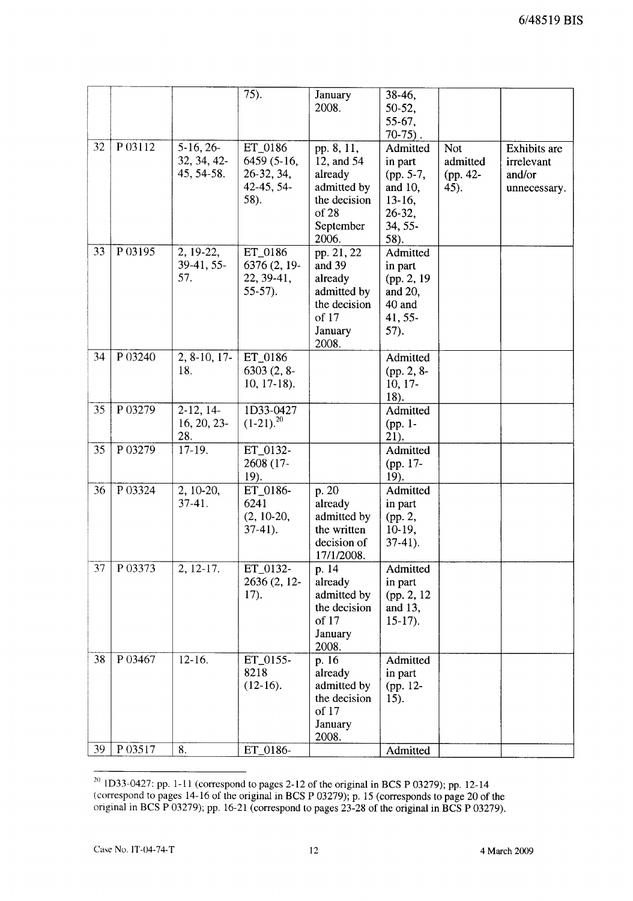|    |         |                                          | $\overline{75}$ ).                                         | January<br>2008.                                                                                  | 38-46,<br>50-52,<br>55-67,<br>$70-75$ ).                                             |                                            |                                                      |
|----|---------|------------------------------------------|------------------------------------------------------------|---------------------------------------------------------------------------------------------------|--------------------------------------------------------------------------------------|--------------------------------------------|------------------------------------------------------|
| 32 | P 03112 | $5-16, 26-$<br>32, 34, 42-<br>45, 54-58. | ET_0186<br>6459 (5-16,<br>26-32, 34,<br>42-45, 54-<br>58). | pp. 8, 11,<br>12, and 54<br>already<br>admitted by<br>the decision<br>of 28<br>September<br>2006. | Admitted<br>in part<br>(pp. 5-7,<br>and 10,<br>$13-16,$<br>26-32,<br>34, 55-<br>58). | <b>Not</b><br>admitted<br>(pp. 42-<br>45). | Exhibits are<br>irrelevant<br>and/or<br>unnecessary. |
| 33 | P 03195 | 2, 19-22,<br>39-41, 55-<br>57.           | ET_0186<br>6376 (2, 19-<br>22, 39-41,<br>$55-57$ ).        | pp. 21, 22<br>and 39<br>already<br>admitted by<br>the decision<br>of 17<br>January<br>2008.       | Admitted<br>in part<br>(pp. 2, 19<br>and 20,<br>40 and<br>41, 55-<br>57).            |                                            |                                                      |
| 34 | P 03240 | $2, 8-10, 17-$<br>18.                    | ET_0186<br>$6303(2, 8-$<br>$10, 17-18$ .                   |                                                                                                   | Admitted<br>(pp. 2, 8-<br>$10, 17$ -<br>18).                                         |                                            |                                                      |
| 35 | P 03279 | $2-12, 14-$<br>16, 20, 23-<br>28.        | 1D33-0427<br>$(1-21).^{20}$                                |                                                                                                   | Admitted<br>(pp. 1-<br>21).                                                          |                                            |                                                      |
| 35 | P03279  | 17-19.                                   | ET_0132-<br>2608 (17-<br>19).                              |                                                                                                   | Admitted<br>(pp. 17-<br>19).                                                         |                                            |                                                      |
| 36 | P 03324 | 2, 10-20,<br>$37-41.$                    | ET_0186-<br>6241<br>$(2, 10-20,$<br>$37-41$ ).             | p. 20<br>already<br>admitted by<br>the written<br>decision of<br>17/1/2008.                       | Admitted<br>in part<br>(pp. 2,<br>$10-19,$<br>$37-41$ ).                             |                                            |                                                      |
| 37 | P 03373 | 2, 12-17.                                | ET_0132-<br>2636 (2, 12-<br>17).                           | p. 14<br>already<br>admitted by<br>the decision<br>of 17<br>January<br>2008.                      | Admitted<br>in part<br>(pp. 2, 12)<br>and 13,<br>$15-17$ .                           |                                            |                                                      |
| 38 | P 03467 | $12-16.$                                 | ET_0155-<br>8218<br>$(12-16).$                             | p. 16<br>already<br>admitted by<br>the decision<br>of 17<br>January<br>2008.                      | Admitted<br>in part<br>(pp. 12-<br>15).                                              |                                            |                                                      |
| 39 | P 03517 | 8.                                       | ET_0186-                                                   |                                                                                                   | Admitted                                                                             |                                            |                                                      |

<sup>&</sup>lt;sup>20</sup> 1D33-0427: pp. 1-11 (correspond to pages 2-12 of the original in BCS P 03279); pp. 12-14 (correspond to pages 14-16 of the original in BCS P 03279); p. 15 (corresponds to page 20 of the original in BCS P 03279); pp. 16-21 (correspond to pages 23-28 of the original in BCS P 03279).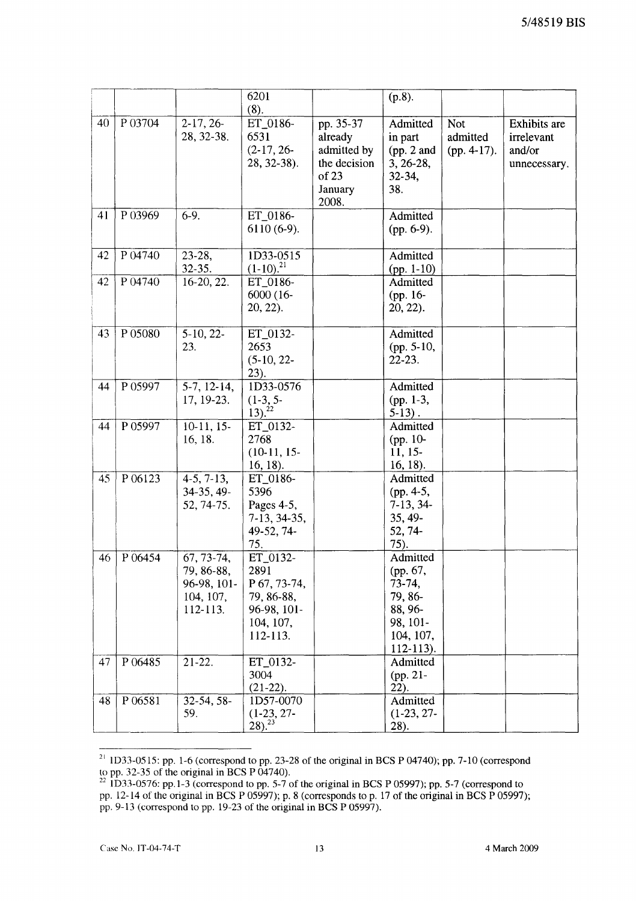|    |         |                                                                  | 6201<br>(8).                                                                           |                                                                                  | $(p.8)$ .                                                                                      |                                         |                                                      |
|----|---------|------------------------------------------------------------------|----------------------------------------------------------------------------------------|----------------------------------------------------------------------------------|------------------------------------------------------------------------------------------------|-----------------------------------------|------------------------------------------------------|
| 40 | P 03704 | $2-17, 26-$<br>28, 32-38.                                        | ET_0186-<br>6531<br>$(2-17, 26-$<br>28, 32-38).                                        | pp. 35-37<br>already<br>admitted by<br>the decision<br>of 23<br>January<br>2008. | Admitted<br>in part<br>(pp. 2 and<br>$3, 26-28,$<br>32-34,<br>38.                              | <b>Not</b><br>admitted<br>$(pp. 4-17).$ | Exhibits are<br>irrelevant<br>and/or<br>unnecessary. |
| 41 | P 03969 | $6-9.$                                                           | ET_0186-<br>$6110(6-9)$ .                                                              |                                                                                  | Admitted<br>$(pp. 6-9).$                                                                       |                                         |                                                      |
| 42 | P 04740 | $23-28$ ,<br>$32 - 35.$                                          | 1D33-0515<br>$(1-10)^{21}$                                                             |                                                                                  | Admitted<br>$(pp. 1-10)$                                                                       |                                         |                                                      |
| 42 | P 04740 | 16-20, 22.                                                       | ET_0186-<br>6000 (16-<br>$20, 22$ ).                                                   |                                                                                  | Admitted<br>(pp. 16-<br>20, 22).                                                               |                                         |                                                      |
| 43 | P 05080 | $5-10, 22-$<br>23.                                               | ET_0132-<br>2653<br>$(5-10, 22-$<br>23).                                               |                                                                                  | Admitted<br>(pp. 5-10,<br>$22 - 23$ .                                                          |                                         |                                                      |
| 44 | P 05997 | $5-7, 12-14,$<br>17, 19-23.                                      | 1D33-0576<br>$(1-3, 5-$<br>$\frac{13}{2}$ . <sup>22</sup>                              |                                                                                  | Admitted<br>(pp. 1-3,<br>$5-13$ .                                                              |                                         |                                                      |
| 44 | P 05997 | $10-11, 15-$<br>16, 18.                                          | ET_0132-<br>2768<br>$(10-11, 15-$<br>$16, 18$ ).                                       |                                                                                  | Admitted<br>(pp. 10-<br>$11, 15-$<br>$16, 18$ ).                                               |                                         |                                                      |
| 45 | P 06123 | $\overline{4-5}$ , 7-13,<br>34-35, 49-<br>52, 74-75.             | ET_0186-<br>5396<br>Pages 4-5,<br>7-13, 34-35,<br>49-52, 74-<br>75.                    |                                                                                  | Admitted<br>(pp. $4-5$ ,<br>$7-13, 34-$<br>35, 49-<br>52, 74-<br>75).                          |                                         |                                                      |
| 46 | P 06454 | 67, 73-74,<br>79, 86-88,<br>96-98, 101-<br>104, 107,<br>112-113. | ET_0132-<br>2891<br>P 67, 73-74,<br>79, 86-88,<br>96-98, 101-<br>104, 107,<br>112-113. |                                                                                  | Admitted<br>(pp. 67,<br>73-74,<br>79, 86-<br>88, 96-<br>98, 101-<br>104, 107,<br>$112 - 113$ . |                                         |                                                      |
| 47 | P 06485 | $21-22.$                                                         | ET_0132-<br>3004<br>$(21-22).$                                                         |                                                                                  | Admitted<br>(pp. 21-<br>$22$ ).                                                                |                                         |                                                      |
| 48 | P 06581 | 32-54, 58-<br>59.                                                | 1D57-0070<br>$(1-23, 27-$<br>$(28)^{23}$                                               |                                                                                  | Admitted<br>$(1-23, 27-$<br>28).                                                               |                                         |                                                      |

 $^{21}$  1D33-0515: pp. 1-6 (correspond to pp. 23-28 of the original in BCS P 04740); pp. 7-10 (correspond to pp. 32-35 of the original in BCS P 04740).

<sup>&</sup>lt;sup>22</sup> 1D33-0576: pp.1-3 (correspond to pp. 5-7 of the original in BCS P 05997); pp. 5-7 (correspond to pp. 12-14 of the original in BCS P 05997); p. 8 (corresponds to p. 17 of the original in BCS P 05997); pp. 9-13 (correspond to pp. 19-23 of the original in BCS P 05997).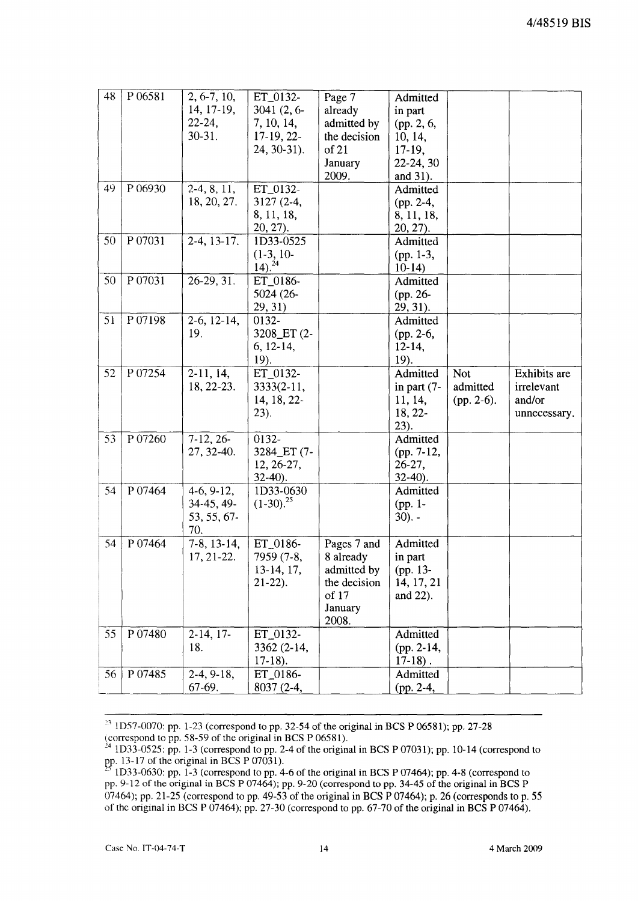| P 06581<br>48<br>$2, 6-7, 10,$<br>ET_0132-<br>Page 7<br>Admitted                       |                                   |
|----------------------------------------------------------------------------------------|-----------------------------------|
| 14, 17-19,<br>$3041(2, 6-$<br>already<br>in part                                       |                                   |
| $22 - 24,$<br>7, 10, 14,<br>admitted by<br>(pp. 2, 6,                                  |                                   |
| $30 - 31$ .<br>$17-19, 22-$<br>the decision<br>10, 14,                                 |                                   |
| 24, 30-31).<br>of 21<br>17-19,                                                         |                                   |
| January<br>22-24, 30                                                                   |                                   |
| 2009.<br>and 31).                                                                      |                                   |
| P 06930<br>49<br>$2-4, 8, 11,$<br>ET_0132-<br>Admitted                                 |                                   |
| 18, 20, 27.<br>$3127(2-4,$<br>$(pp. 2-4,$                                              |                                   |
| 8, 11, 18,<br>8, 11, 18,                                                               |                                   |
| 20, 27).<br>$20, 27$ ).                                                                |                                   |
| 50<br>P 07031<br>$2-4, 13-17.$<br>1D33-0525<br>Admitted                                |                                   |
| $(1-3, 10-$<br>(pp. $1-3$ ,                                                            |                                   |
| $14)$ . <sup>24</sup><br>$10-14$                                                       |                                   |
| P 07031<br>$26-29, 31.$<br>50<br>ET_0186-<br>Admitted                                  |                                   |
| 5024 (26-<br>(pp. 26-                                                                  |                                   |
| 29, 31)<br>29, 31).                                                                    |                                   |
| 51<br>P 07198<br>$2-6$ , $12-14$ ,<br>0132-<br>Admitted                                |                                   |
| 19.<br>3208_ET (2-<br>(pp. 2-6,                                                        |                                   |
| 6, 12-14,<br>$12 - 14,$                                                                |                                   |
| 19).<br>19).                                                                           |                                   |
| P 07254<br>$2-11, 14,$<br>ET_0132-<br>52<br>Admitted                                   | <b>Exhibits</b> are<br><b>Not</b> |
| 18, 22-23.<br>$3333(2-11,$<br>in part $(7-$                                            | admitted<br>irrelevant            |
| 14, 18, 22-<br>11, 14,                                                                 | and/or<br>$(pp. 2-6).$            |
| 23).<br>$18, 22-$                                                                      | unnecessary.                      |
| 23).                                                                                   |                                   |
| $7-12, 26-$<br>P 07260<br>0132-<br>Admitted<br>53                                      |                                   |
| 3284_ET (7-<br>27, 32-40.<br>(pp. 7-12,                                                |                                   |
| 12, 26-27,<br>$26-27$ ,                                                                |                                   |
| $32-40$ ).<br>$32-40$ ).                                                               |                                   |
| 54<br>P 07464<br>$4-6, 9-12,$<br>1D33-0630<br>Admitted<br>$(1-30).^{25}$<br>34-45, 49- |                                   |
| (pp. 1-<br>53, 55, 67-<br>$30$ ). $-$                                                  |                                   |
| 70.                                                                                    |                                   |
| P 07464<br>$7-8$ , 13-14,<br>ET_0186-<br>Admitted<br>54<br>Pages 7 and                 |                                   |
| 17, 21-22.<br>7959 (7-8,<br>8 already<br>in part                                       |                                   |
| 13-14, 17,<br>admitted by<br>(pp. 13-                                                  |                                   |
| the decision<br>14, 17, 21<br>$21-22$ ).                                               |                                   |
| of 17<br>and 22).                                                                      |                                   |
| January                                                                                |                                   |
| 2008.                                                                                  |                                   |
| P 07480<br>55<br>$2-14, 17-$<br>Admitted<br>ET_0132-                                   |                                   |
| 18.<br>3362 (2-14,<br>$(pp. 2-14,$                                                     |                                   |
| $17-18$ .<br>$17-18$ ).                                                                |                                   |
| 56<br>P 07485<br>$2-4, 9-18,$<br>ET_0186-<br>Admitted                                  |                                   |
| 67-69.<br>8037 (2-4,<br>(pp. 2-4,                                                      |                                   |

 $23$  1D57-0070: pp. 1-23 (correspond to pp. 32-54 of the original in BCS P 06581); pp. 27-28 (correspond to pp. 58-59 of the original in BCS P 06581).

 $^{24}$  1D33-0525: pp. 1-3 (correspond to pp. 2-4 of the original in BCS P 07031); pp. 10-14 (correspond to pp. 13-17 of the original in BCS P 07031).

<sup>1</sup>D33-0630: pp. 1-3 (correspond to pp. 4-6 of the original in BCS P 07464); pp. 4-8 (correspond to pp. 9-12 of the original in BCS P 07464); pp. 9-20 (correspond to pp. 34-45 of the original in BCS P  $07464$ ); pp. 21-25 (correspond to pp. 49-53 of the original in BCS P 07464); p. 26 (corresponds to p. 55 of the original in BCS P 07464); pp. 27-30 (correspond to pp. 67-70 of the original in BCS P 07464).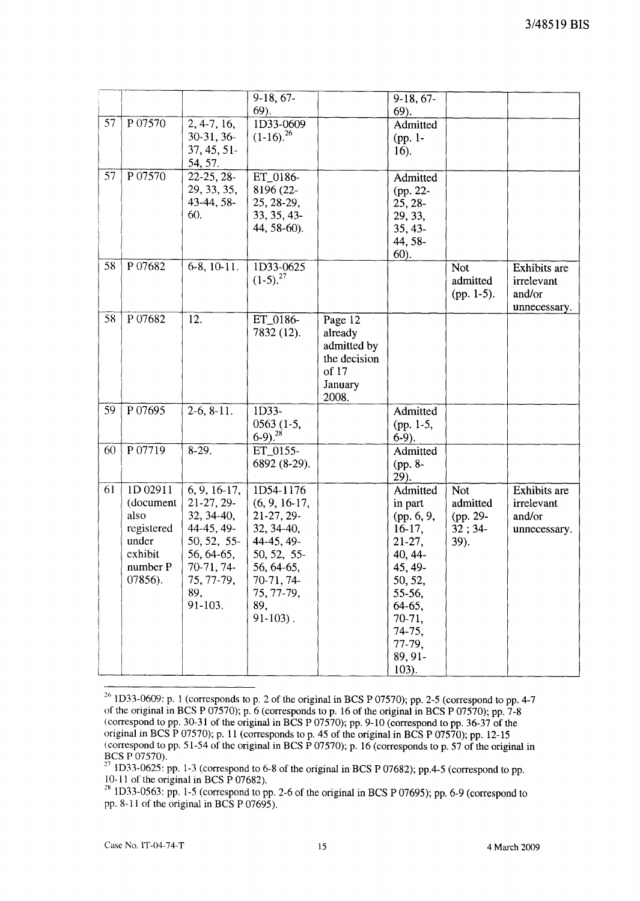|    |                                                                                        |                                                                                                                                       | 9-18, 67-<br>69).                                                                                                                                    |                                                                                | $9-18, 67-$<br>$69$ ).                                                                                                                                              |                                                      |                                                      |
|----|----------------------------------------------------------------------------------------|---------------------------------------------------------------------------------------------------------------------------------------|------------------------------------------------------------------------------------------------------------------------------------------------------|--------------------------------------------------------------------------------|---------------------------------------------------------------------------------------------------------------------------------------------------------------------|------------------------------------------------------|------------------------------------------------------|
| 57 | P 07570                                                                                | $2, 4-7, 16,$<br>$30-31, 36-$<br>37, 45, 51<br>54, 57.                                                                                | 1D33-0609<br>$(1-16).^{26}$                                                                                                                          |                                                                                | Admitted<br>(pp. 1-<br>$16$ ).                                                                                                                                      |                                                      |                                                      |
| 57 | P 07570                                                                                | $22-25, 28-$<br>29, 33, 35,<br>43-44, 58-<br>60.                                                                                      | ET_0186-<br>8196 (22-<br>25, 28-29,<br>33, 35, 43-<br>44, 58-60).                                                                                    |                                                                                | Admitted<br>(pp. 22-<br>25, 28-<br>29, 33,<br>35, 43-<br>44, 58-<br>60).                                                                                            |                                                      |                                                      |
| 58 | P 07682                                                                                | $6-8$ , $10-11$ .                                                                                                                     | 1D33-0625<br>$(1-5).^{27}$                                                                                                                           |                                                                                |                                                                                                                                                                     | <b>Not</b><br>admitted<br>$(pp. 1-5)$ .              | Exhibits are<br>irrelevant<br>and/or<br>unnecessary. |
| 58 | P07682                                                                                 | 12.                                                                                                                                   | ET_0186-<br>7832 (12).                                                                                                                               | Page 12<br>already<br>admitted by<br>the decision<br>of 17<br>January<br>2008. |                                                                                                                                                                     |                                                      |                                                      |
| 59 | P 07695                                                                                | $2-6, 8-11.$                                                                                                                          | 1D33-<br>$0563(1-5,$<br>$(6-9)^{28}$                                                                                                                 |                                                                                | Admitted<br>(pp. 1-5,<br>$6-9$ ).                                                                                                                                   |                                                      |                                                      |
| 60 | P 07719                                                                                | $8-29.$                                                                                                                               | ET_0155-<br>6892 (8-29).                                                                                                                             |                                                                                | Admitted<br>(pp. 8-<br>29).                                                                                                                                         |                                                      |                                                      |
| 61 | 1D 02911<br>(document<br>also<br>registered<br>under<br>exhibit<br>number P<br>07856). | $6, 9, 16-17,$<br>21-27, 29-<br>$32, 34-40,$<br>44-45, 49-<br>50, 52, 55-<br>56, 64-65,<br>70-71, 74-<br>75, 77-79,<br>89,<br>91-103. | 1D54-1176<br>$(6, 9, 16-17,$<br>21-27, 29-<br>32, 34-40,<br>44-45, 49-<br>50, 52, 55-<br>56, 64-65,<br>70-71, 74-<br>75, 77-79,<br>89,<br>$91-103$ . |                                                                                | Admitted<br>in part<br>(pp. 6, 9,<br>$16-17,$<br>$21-27,$<br>40, 44-<br>45, 49-<br>50, 52,<br>55-56,<br>64-65,<br>70-71,<br>74-75,<br>77-79,<br>89, 91-<br>$103$ ). | <b>Not</b><br>admitted<br>(pp. 29-<br>32; 34<br>39). | Exhibits are<br>irrelevant<br>and/or<br>unnecessary. |

<sup>&</sup>lt;sup>26</sup> 1D33-0609: p. 1 (corresponds to p. 2 of the original in BCS P 07570); pp. 2-5 (correspond to pp. 4-7 of the original in BCS P 07570); p. 6 (corresponds to p. 16 of the original in BCS P 07570); pp. 7-8 (correspond to pp. 30-31 of the original in BCS P 07570); pp. 9-10 (correspond to pp. 36-37 of the original in BCS P 07570); p. 11 (corresponds to p. 45 of the original in BCS P 07570); pp. 12-15 (correspond to pp. 51-54 of the original in BCS P 07570); p. 16 (corresponds to p. 57 of the original in BCS P 07570).

<sup>1</sup>D33-0625: pp. 1-3 (correspond to 6-8 of the original in BCS P 07682); pp.4-5 (correspond to pp. 10-11 of the original in BCS  $\overline{P}$  07682).

 $28 \text{ 1D33-0563: pp. 1-5 (correspond to pp. 2-6 of the original in BCS P 07695); pp. 6-9 (correspond to  $28 \text{ 1D33-0563: pp. 1-5$ ) (correspond to  $28 \text{ 1D33-0563: pp. 1-5}$ )$ pp. 8-11 of the original in BCS P 07695).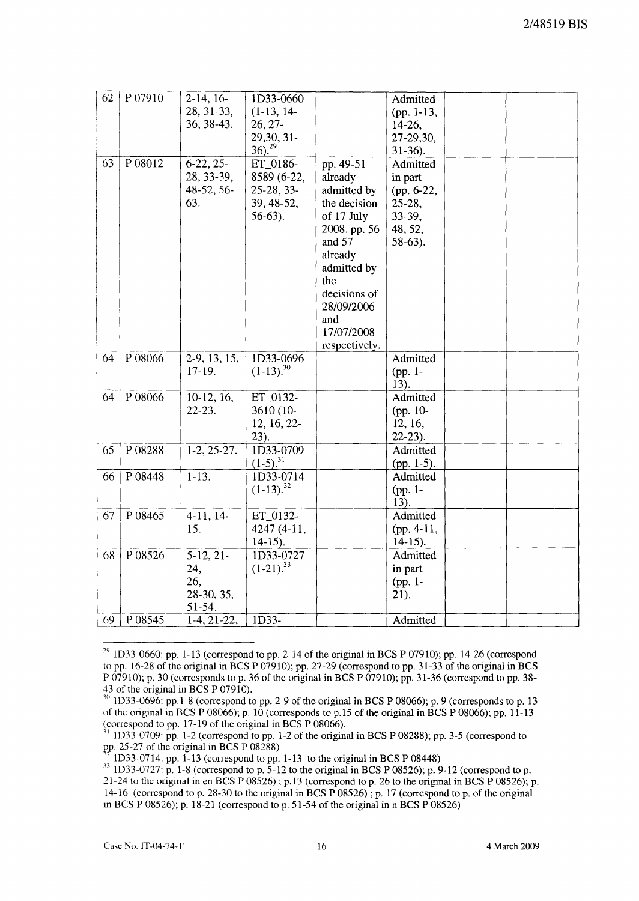| 62 | P 07910 | $2-14, 16-$<br>28, 31-33,<br>36, 38-43.           | 1D33-0660<br>$(1-13, 14-$<br>$26, 27$ -<br>29,30, 31-<br>$36)^{29}$ |                                                                                                                                                                                                  | Admitted<br>(pp. 1-13,<br>$14-26$ ,<br>27-29,30,<br>$31-36$ ).                    |  |
|----|---------|---------------------------------------------------|---------------------------------------------------------------------|--------------------------------------------------------------------------------------------------------------------------------------------------------------------------------------------------|-----------------------------------------------------------------------------------|--|
| 63 | P 08012 | $6-22, 25-$<br>28, 33-39,<br>48-52, 56-<br>63.    | ET_0186-<br>8589 (6-22,<br>25-28, 33-<br>39, 48-52,<br>$56-63$ ).   | pp. 49-51<br>already<br>admitted by<br>the decision<br>of 17 July<br>2008. pp. 56<br>and 57<br>already<br>admitted by<br>the<br>decisions of<br>28/09/2006<br>and<br>17/07/2008<br>respectively. | Admitted<br>in part<br>(pp. 6-22,<br>$25-28$ ,<br>33-39,<br>48, 52,<br>$58-63$ ). |  |
| 64 | P 08066 | $2-9, 13, 15,$<br>$17-19.$                        | ID33-0696<br>$(1-13)^{30}$                                          |                                                                                                                                                                                                  | Admitted<br>(pp. 1-<br>13).                                                       |  |
| 64 | P 08066 | $10-12, 16,$<br>$22 - 23$ .                       | ET 0132-<br>3610 (10-<br>12, 16, 22-<br>23).                        |                                                                                                                                                                                                  | Admitted<br>(pp. 10-<br>12, 16,<br>$22-23$ ).                                     |  |
| 65 | P08288  | $1-2, 25-27.$                                     | ID33-0709<br>$(1-5)^{31}$                                           |                                                                                                                                                                                                  | Admitted<br>(pp. 1-5).                                                            |  |
| 66 | P 08448 | $1-13.$                                           | 1D33-0714<br>$(1-13).^{32}$                                         |                                                                                                                                                                                                  | Admitted<br>(pp. 1-<br>13).                                                       |  |
| 67 | P 08465 | $4-11, 14-$<br>15.                                | ET_0132-<br>4247 (4-11,<br>$14-15$ ).                               |                                                                                                                                                                                                  | Admitted<br>$(pp. 4-11,$<br>$14-15$ ).                                            |  |
| 68 | P08526  | $5-12, 21-$<br>24,<br>26,<br>28-30, 35,<br>51-54. | ID33-0727<br>$(1-21).^{33}$                                         |                                                                                                                                                                                                  | Admitted<br>in part<br>(pp. 1-<br>21).                                            |  |
| 69 | P 08545 | $1-4, 21-22,$                                     | $1\overline{D}33$ -                                                 |                                                                                                                                                                                                  | Admitted                                                                          |  |

 $29$  1D33-0660: pp. 1-13 (correspond to pp. 2-14 of the original in BCS P 07910); pp. 14-26 (correspond to pp. 16-28 of the original in BCS P 07910); pp. 27-29 (correspond to pp. 31-33 of the original in BCS P 07910); p. 30 (corresponds to p. 36 of the original in BCS P 07910); pp. 31-36 (correspond to pp. 38- 43 of the original in BCS P 07910).

 $30$  1D33-0696: pp. 1-8 (correspond to pp. 2-9 of the original in BCS P 08066); p. 9 (corresponds to p. 13 of the original in BCS P 08066); p. 10 (corresponds to p.15 of the original in BCS P 08066); pp. 11-13 (correspond to pp. 17-19 of the original in BCS P 08066).

<sup>11</sup> ID33-0709: pp. 1-2 (correspond to pp. 1-2 of the original in BCS P 08288); pp. 3-5 (correspond to pp. 25-27 of the original in BCS P  $08288$ )

ID33-0714: pp. 1-13 (correspond to pp. 1-13 to the original in BCS P 08448)

 $^{33}$  1D33-0727: p. 1-8 (correspond to p. 5-12 to the original in BCS P 08526); p. 9-12 (correspond to p. 21-24 to the original in en BCS P 08526) ; p.13 (correspond to p. 26 to the original in BCS P 08526); p. 14-16 (correspond to p. 28-30 to the original in BCS P 08526) ; p. 17 (correspond to p. of the original in BCS P 08526); p. 18-21 (correspond to p. 51-54 of the original in n BCS P 08526)